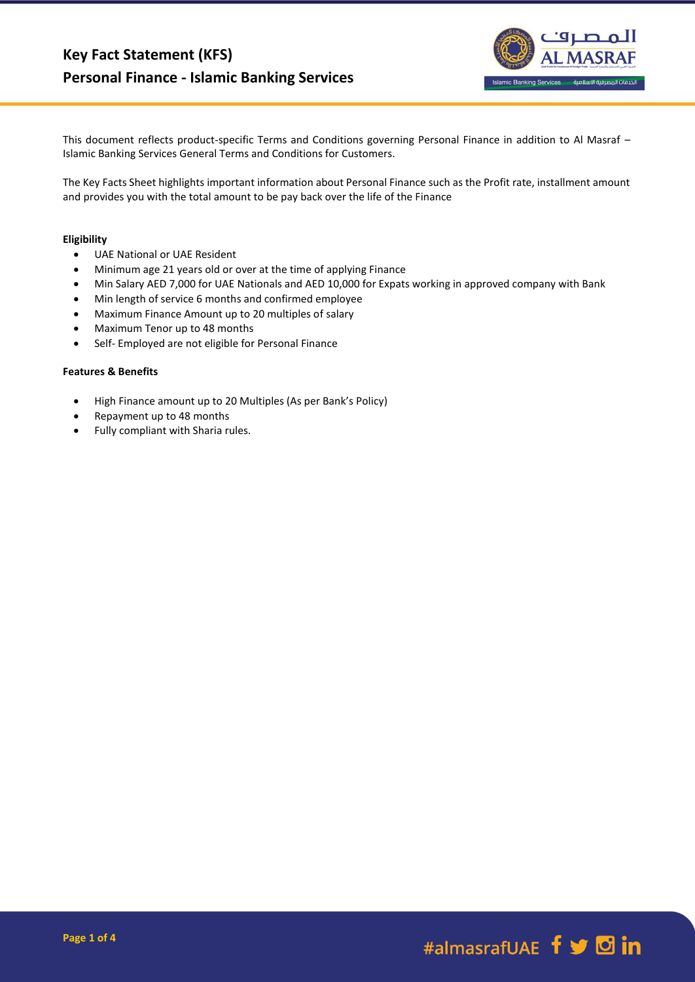

This document reflects product-specific Terms and Conditions governing Personal Finance in addition to Al Masraf – Islamic Banking Services General Terms and Conditions for Customers.

The Key Facts Sheet highlights important information about Personal Finance such as the Profit rate, installment amount and provides you with the total amount to be pay back over the life of the Finance

#### **Eligibility**

- UAE National or UAE Resident
- Minimum age 21 years old or over at the time of applying Finance
- Min Salary AED 7,000 for UAE Nationals and AED 10,000 for Expats working in approved company with Bank
- Min length of service 6 months and confirmed employee
- Maximum Finance Amount up to 20 multiples of salary
- Maximum Tenor up to 48 months
- Self- Employed are not eligible for Personal Finance

#### **Features & Benefits**

- High Finance amount up to 20 Multiples (As per Bank's Policy)
- Repayment up to 48 months
- Fully compliant with Sharia rules.

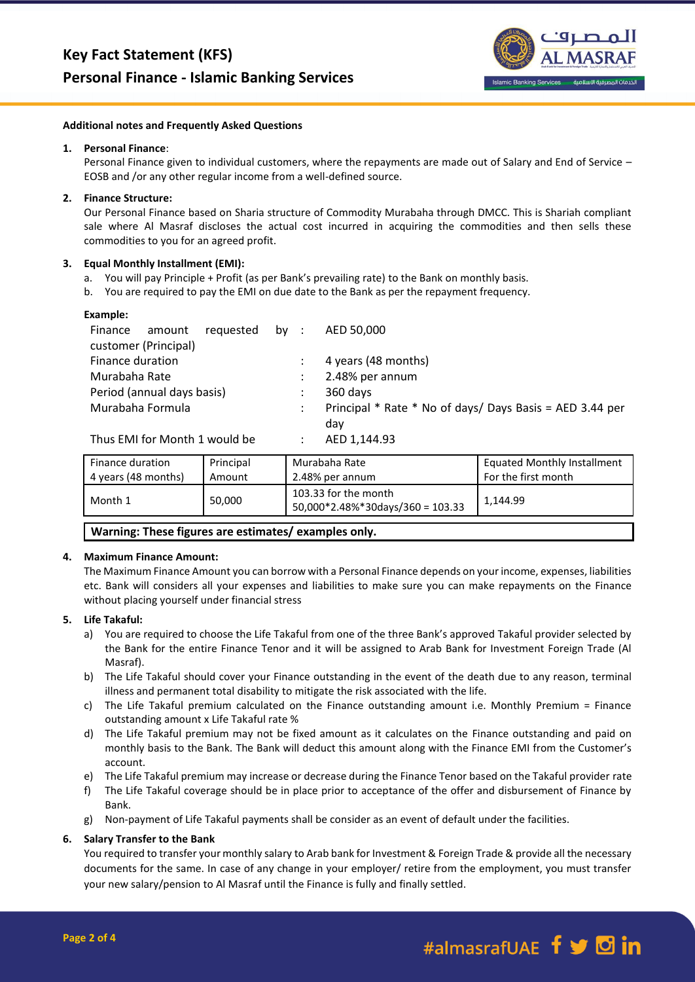

#### **Additional notes and Frequently Asked Questions**

#### **1. Personal Finance**:

Personal Finance given to individual customers, where the repayments are made out of Salary and End of Service – EOSB and /or any other regular income from a well-defined source.

## **2. Finance Structure:**

Our Personal Finance based on Sharia structure of Commodity Murabaha through DMCC. This is Shariah compliant sale where Al Masraf discloses the actual cost incurred in acquiring the commodities and then sells these commodities to you for an agreed profit.

## **3. Equal Monthly Installment (EMI):**

- a. You will pay Principle + Profit (as per Bank's prevailing rate) to the Bank on monthly basis.
- b. You are required to pay the EMI on due date to the Bank as per the repayment frequency.

| requested by :<br>Finance<br>amount |   | AED 50,000                                               |
|-------------------------------------|---|----------------------------------------------------------|
| customer (Principal)                |   |                                                          |
| Finance duration                    |   | 4 years (48 months)                                      |
| Murabaha Rate                       |   | 2.48% per annum                                          |
| Period (annual days basis)          | ÷ | 360 days                                                 |
| Murabaha Formula                    |   | Principal * Rate * No of days/ Days Basis = AED 3.44 per |
|                                     |   | dav                                                      |
| Thus FMI for Month 1 would be       |   | $\triangle$ ED 1 11102                                   |

Thus EMI for Month 1 would be  $\quad$  : AED 1,144.93

| Finance duration    | Principal | Murabaha Rate                                             | <b>Equated Monthly Installment</b> |
|---------------------|-----------|-----------------------------------------------------------|------------------------------------|
| 4 years (48 months) | Amount    | 2.48% per annum                                           | For the first month                |
| Month 1             | 50,000    | 103.33 for the month<br>$50,000*2.48\%*30days/360=103.33$ | 1.144.99                           |

**Warning: These figures are estimates/ examples only.**

#### **4. Maximum Finance Amount:**

The Maximum Finance Amount you can borrow with a Personal Finance depends on your income, expenses, liabilities etc. Bank will considers all your expenses and liabilities to make sure you can make repayments on the Finance without placing yourself under financial stress

## **5. Life Takaful:**

- a) You are required to choose the Life Takaful from one of the three Bank's approved Takaful provider selected by the Bank for the entire Finance Tenor and it will be assigned to Arab Bank for Investment Foreign Trade (Al Masraf).
- b) The Life Takaful should cover your Finance outstanding in the event of the death due to any reason, terminal illness and permanent total disability to mitigate the risk associated with the life.
- c) The Life Takaful premium calculated on the Finance outstanding amount i.e. Monthly Premium = Finance outstanding amount x Life Takaful rate %
- d) The Life Takaful premium may not be fixed amount as it calculates on the Finance outstanding and paid on monthly basis to the Bank. The Bank will deduct this amount along with the Finance EMI from the Customer's account.
- e) The Life Takaful premium may increase or decrease during the Finance Tenor based on the Takaful provider rate
- f) The Life Takaful coverage should be in place prior to acceptance of the offer and disbursement of Finance by Bank.
- g) Non-payment of Life Takaful payments shall be consider as an event of default under the facilities.

## **6. Salary Transfer to the Bank**

You required to transfer your monthly salary to Arab bank for Investment & Foreign Trade & provide all the necessary documents for the same. In case of any change in your employer/ retire from the employment, you must transfer your new salary/pension to Al Masraf until the Finance is fully and finally settled.

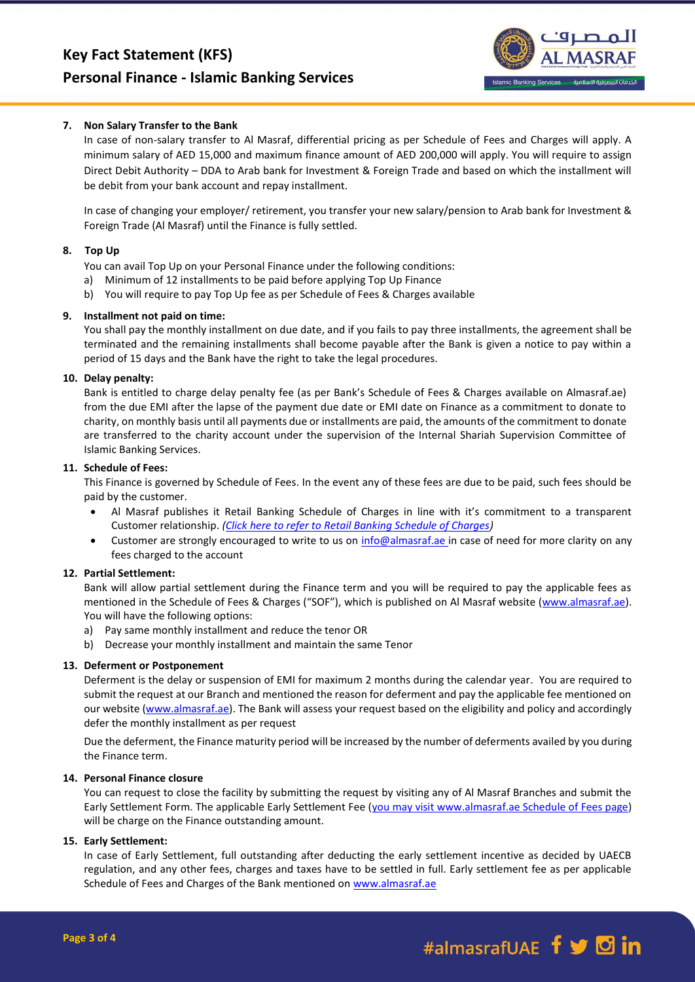

## **7. Non Salary Transfer to the Bank**

In case of non-salary transfer to Al Masraf, differential pricing as per Schedule of Fees and Charges will apply. A minimum salary of AED 15,000 and maximum finance amount of AED 200,000 will apply. You will require to assign Direct Debit Authority – DDA to Arab bank for Investment & Foreign Trade and based on which the installment will be debit from your bank account and repay installment.

In case of changing your employer/ retirement, you transfer your new salary/pension to Arab bank for Investment & Foreign Trade (Al Masraf) until the Finance is fully settled.

## **8. Top Up**

You can avail Top Up on your Personal Finance under the following conditions:

- a) Minimum of 12 installments to be paid before applying Top Up Finance
- b) You will require to pay Top Up fee as per Schedule of Fees & Charges available

#### **9. Installment not paid on time:**

You shall pay the monthly installment on due date, and if you fails to pay three installments, the agreement shall be terminated and the remaining installments shall become payable after the Bank is given a notice to pay within a period of 15 days and the Bank have the right to take the legal procedures.

#### **10. Delay penalty:**

Bank is entitled to charge delay penalty fee (as per Bank's Schedule of Fees & Charges available on Almasraf.ae) from the due EMI after the lapse of the payment due date or EMI date on Finance as a commitment to donate to charity, on monthly basis until all payments due or installments are paid, the amounts of the commitment to donate are transferred to the charity account under the supervision of the Internal Shariah Supervision Committee of Islamic Banking Services.

#### **11. Schedule of Fees:**

This Finance is governed by Schedule of Fees. In the event any of these fees are due to be paid, such fees should be paid by the customer.

- Al Masraf publishes it Retail Banking Schedule of Charges in line with it's commitment to a transparent Customer relationship. *[\(Click here to refer to Retail Banking Schedule of Charges\)](https://almasraf.ae/schedule-of-charges/)*
- Customer are strongly encouraged to write to us o[n info@almasraf.ae](mailto:Query@almasraf.ae) in case of need for more clarity on any fees charged to the account

## **12. Partial Settlement:**

Bank will allow partial settlement during the Finance term and you will be required to pay the applicable fees as mentioned in the Schedule of Fees & Charges ("SOF"), which is published on Al Masraf website [\(www.almasraf.ae\)](http://www.almasraf.ae/). You will have the following options:

- a) Pay same monthly installment and reduce the tenor OR
- b) Decrease your monthly installment and maintain the same Tenor

## **13. Deferment or Postponement**

Deferment is the delay or suspension of EMI for maximum 2 months during the calendar year. You are required to submit the request at our Branch and mentioned the reason for deferment and pay the applicable fee mentioned on our website [\(www.almasraf.ae\)](http://www.almasraf.ae/). The Bank will assess your request based on the eligibility and policy and accordingly defer the monthly installment as per request

Due the deferment, the Finance maturity period will be increased by the number of deferments availed by you during the Finance term.

#### **14. Personal Finance closure**

You can request to close the facility by submitting the request by visiting any of Al Masraf Branches and submit the Early Settlement Form. The applicable Early Settlement Fee (you may visit www.almasraf.ae Schedule of Fees page) will be charge on the Finance outstanding amount.

## **15. Early Settlement:**

In case of Early Settlement, full outstanding after deducting the early settlement incentive as decided by UAECB regulation, and any other fees, charges and taxes have to be settled in full. Early settlement fee as per applicable Schedule of Fees and Charges of the Bank mentioned on [www.almasraf.ae](http://www.almasraf.ae/)